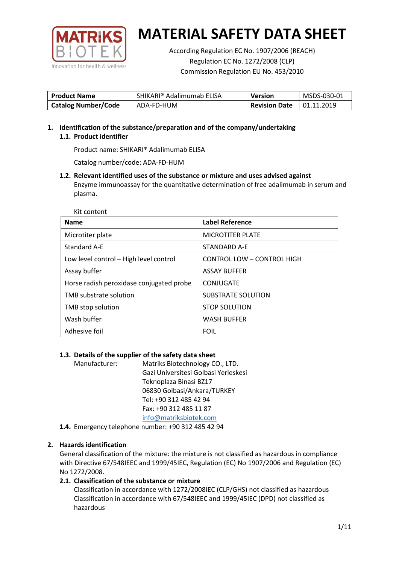

According Regulation EC No. 1907/2006 (REACH) Regulation EC No. 1272/2008 (CLP) Commission Regulation EU No. 453/2010

| <b>Product Name</b>        | SHIKARI® Adalimumab ELISA | <b>Version</b>       | MSDS-030-01 |
|----------------------------|---------------------------|----------------------|-------------|
| <b>Catalog Number/Code</b> | ADA-FD-HUM                | <b>Revision Date</b> | 01.11.2019  |

**1. Identification of the substance/preparation and of the company/undertaking 1.1. Product identifier**

Product name: SHIKARI® Adalimumab ELISA

Catalog number/code: ADA-FD-HUM

**1.2. Relevant identified uses of the substance or mixture and uses advised against** Enzyme immunoassay for the quantitative determination of free adalimumab in serum and plasma.

Kit content

| <b>Name</b>                              | <b>Label Reference</b>            |
|------------------------------------------|-----------------------------------|
| Microtiter plate                         | <b>MICROTITER PLATE</b>           |
| Standard A-E                             | STANDARD A-E                      |
| Low level control - High level control   | <b>CONTROL LOW - CONTROL HIGH</b> |
| Assay buffer                             | <b>ASSAY BUFFER</b>               |
| Horse radish peroxidase conjugated probe | CONJUGATE                         |
| TMB substrate solution                   | <b>SUBSTRATE SOLUTION</b>         |
| TMB stop solution                        | <b>STOP SOLUTION</b>              |
| Wash buffer                              | <b>WASH BUFFER</b>                |
| Adhesive foil                            | <b>FOIL</b>                       |

## **1.3. Details of the supplier of the safety data sheet**

Manufacturer: Matriks Biotechnology CO., LTD. Gazi Universitesi Golbasi Yerleskesi Teknoplaza Binasi BZ17 06830 Golbasi/Ankara/TURKEY Tel: +90 312 485 42 94 Fax: +90 312 485 11 87 [info@matriksbiotek.com](mailto:info@matriksbiotek.com)

**1.4.** Emergency telephone number: +90 312 485 42 94

## **2. Hazards identification**

General classification of the mixture: the mixture is not classified as hazardous in compliance with Directive 67/548IEEC and 1999/45IEC, Regulation (EC) No 1907/2006 and Regulation (EC) No 1272/2008.

## **2.1. Classification of the substance or mixture**

Classification in accordance with 1272/2008IEC (CLP/GHS) not classified as hazardous Classification in accordance with 67/548IEEC and 1999/45IEC (DPD) not classified as hazardous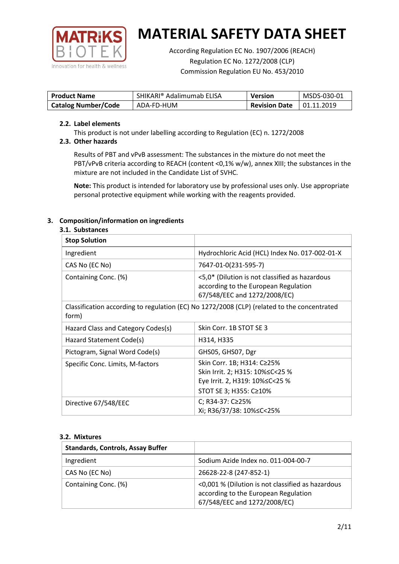

According Regulation EC No. 1907/2006 (REACH) Regulation EC No. 1272/2008 (CLP) Commission Regulation EU No. 453/2010

| <b>Product Name</b>        | SHIKARI® Adalimumab ELISA | <b>Version</b>       | MSDS-030-01       |
|----------------------------|---------------------------|----------------------|-------------------|
| <b>Catalog Number/Code</b> | ADA-FD-HUM                | <b>Revision Date</b> | $\mid$ 01.11.2019 |

### **2.2. Label elements**

This product is not under labelling according to Regulation (EC) n. 1272/2008

## **2.3. Other hazards**

Results of PBT and vPvB assessment: The substances in the mixture do not meet the PBT/vPvB criteria according to REACH (content <0,1% w/w), annex XIII; the substances in the mixture are not included in the Candidate List of SVHC.

**Note:** This product is intended for laboratory use by professional uses only. Use appropriate personal protective equipment while working with the reagents provided.

## **3. Composition/information on ingredients**

### **3.1. Substances**

| <b>Stop Solution</b>               |                                                                                                                           |
|------------------------------------|---------------------------------------------------------------------------------------------------------------------------|
| Ingredient                         | Hydrochloric Acid (HCL) Index No. 017-002-01-X                                                                            |
| CAS No (EC No)                     | 7647-01-0(231-595-7)                                                                                                      |
| Containing Conc. (%)               | <5,0* (Dilution is not classified as hazardous<br>according to the European Regulation<br>67/548/EEC and 1272/2008/EC)    |
| form)                              | Classification according to regulation (EC) No 1272/2008 (CLP) (related to the concentrated                               |
| Hazard Class and Category Codes(s) | Skin Corr. 1B STOT SE 3                                                                                                   |
| Hazard Statement Code(s)           | H314, H335                                                                                                                |
| Pictogram, Signal Word Code(s)     | GHS05, GHS07, Dgr                                                                                                         |
| Specific Conc. Limits, M-factors   | Skin Corr. 1B; H314: C≥25%<br>Skin Irrit. 2; H315: 10%≤C<25 %<br>Eye Irrit. 2, H319: 10%≤C<25 %<br>STOT SE 3; H355: C≥10% |
| Directive 67/548/EEC               | C; R34-37: C≥25%<br>Xi; R36/37/38: 10%≤C<25%                                                                              |

### **3.2. Mixtures**

| <b>Standards, Controls, Assay Buffer</b> |                                                                                                                           |
|------------------------------------------|---------------------------------------------------------------------------------------------------------------------------|
| Ingredient                               | Sodium Azide Index no. 011-004-00-7                                                                                       |
| CAS No (EC No)                           | 26628-22-8 (247-852-1)                                                                                                    |
| Containing Conc. (%)                     | <0,001 % (Dilution is not classified as hazardous<br>according to the European Regulation<br>67/548/EEC and 1272/2008/EC) |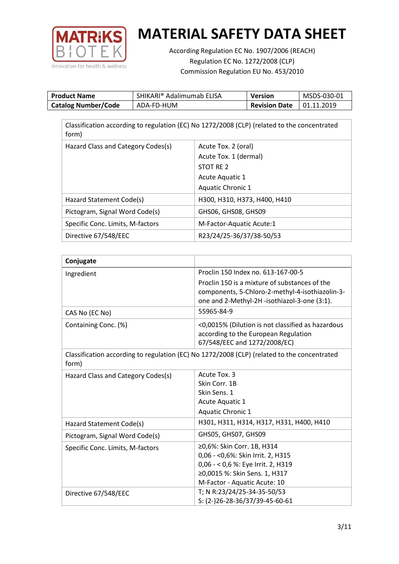

According Regulation EC No. 1907/2006 (REACH) Regulation EC No. 1272/2008 (CLP) Commission Regulation EU No. 453/2010

| <b>Product Name</b>        | SHIKARI® Adalimumab ELISA | Version              | MSDS-030-01 |
|----------------------------|---------------------------|----------------------|-------------|
| <b>Catalog Number/Code</b> | ADA-FD-HUM                | <b>Revision Date</b> | 01.11.2019  |

| Classification according to regulation (EC) No 1272/2008 (CLP) (related to the concentrated<br>form) |                              |  |  |
|------------------------------------------------------------------------------------------------------|------------------------------|--|--|
| Hazard Class and Category Codes(s)                                                                   | Acute Tox. 2 (oral)          |  |  |
|                                                                                                      | Acute Tox. 1 (dermal)        |  |  |
|                                                                                                      | STOT RE 2                    |  |  |
|                                                                                                      | Acute Aquatic 1              |  |  |
|                                                                                                      | <b>Aquatic Chronic 1</b>     |  |  |
| Hazard Statement Code(s)                                                                             | H300, H310, H373, H400, H410 |  |  |
| Pictogram, Signal Word Code(s)                                                                       | GHS06, GHS08, GHS09          |  |  |
| Specific Conc. Limits, M-factors                                                                     | M-Factor-Aquatic Acute:1     |  |  |
| Directive 67/548/EEC                                                                                 | R23/24/25-36/37/38-50/53     |  |  |

| Conjugate                          |                                                                                                  |
|------------------------------------|--------------------------------------------------------------------------------------------------|
| Ingredient                         | Proclin 150 Index no. 613-167-00-5                                                               |
|                                    | Proclin 150 is a mixture of substances of the<br>components, 5-Chloro-2-methyl-4-isothiazolin-3- |
|                                    | one and 2-Methyl-2H -isothiazol-3-one (3:1).                                                     |
| CAS No (EC No)                     | 55965-84-9                                                                                       |
| Containing Conc. (%)               | <0,0015% (Dilution is not classified as hazardous<br>according to the European Regulation        |
|                                    | 67/548/EEC and 1272/2008/EC)                                                                     |
| form)                              | Classification according to regulation (EC) No 1272/2008 (CLP) (related to the concentrated      |
| Hazard Class and Category Codes(s) | Acute Tox. 3                                                                                     |
|                                    | Skin Corr. 1B                                                                                    |
|                                    | Skin Sens. 1                                                                                     |
|                                    | Acute Aquatic 1                                                                                  |
|                                    | Aquatic Chronic 1                                                                                |
| Hazard Statement Code(s)           | H301, H311, H314, H317, H331, H400, H410                                                         |
| Pictogram, Signal Word Code(s)     | GHS05, GHS07, GHS09                                                                              |
| Specific Conc. Limits, M-factors   | ≥0,6%: Skin Corr. 1B, H314                                                                       |
|                                    | 0,06 - < 0,6%: Skin Irrit. 2, H315                                                               |
|                                    | 0,06 - < 0,6 %: Eye Irrit. 2, H319                                                               |
|                                    | ≥0,0015 %: Skin Sens. 1, H317                                                                    |
|                                    | M-Factor - Aquatic Acute: 10                                                                     |
| Directive 67/548/EEC               | T; N R:23/24/25-34-35-50/53                                                                      |
|                                    | S: (2-)26-28-36/37/39-45-60-61                                                                   |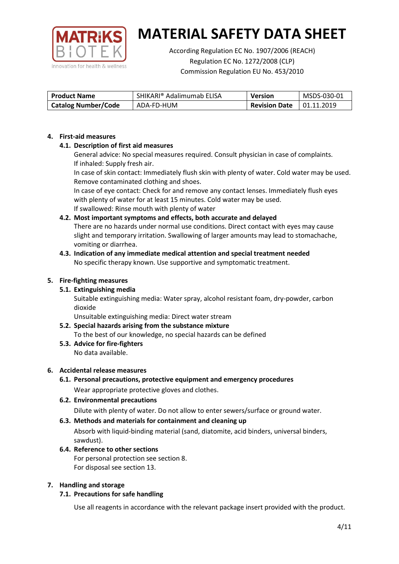

According Regulation EC No. 1907/2006 (REACH) Regulation EC No. 1272/2008 (CLP) Commission Regulation EU No. 453/2010

| <b>Product Name</b>        | SHIKARI® Adalimumab ELISA | <b>Version</b>       | MSDS-030-01 |
|----------------------------|---------------------------|----------------------|-------------|
| <b>Catalog Number/Code</b> | ADA-FD-HUM                | <b>Revision Date</b> | 01.11.2019  |

### **4. First-aid measures**

## **4.1. Description of first aid measures**

General advice: No special measures required. Consult physician in case of complaints. If inhaled: Supply fresh air.

In case of skin contact: Immediately flush skin with plenty of water. Cold water may be used. Remove contaminated clothing and shoes.

In case of eye contact: Check for and remove any contact lenses. Immediately flush eyes with plenty of water for at least 15 minutes. Cold water may be used. If swallowed: Rinse mouth with plenty of water

## **4.2. Most important symptoms and effects, both accurate and delayed**

There are no hazards under normal use conditions. Direct contact with eyes may cause slight and temporary irritation. Swallowing of larger amounts may lead to stomachache, vomiting or diarrhea.

### **4.3. Indication of any immediate medical attention and special treatment needed** No specific therapy known. Use supportive and symptomatic treatment.

## **5. Fire-fighting measures**

## **5.1. Extinguishing media**

Suitable extinguishing media: Water spray, alcohol resistant foam, dry-powder, carbon dioxide

Unsuitable extinguishing media: Direct water stream

#### **5.2. Special hazards arising from the substance mixture** To the best of our knowledge, no special hazards can be defined

**5.3. Advice for fire-fighters** No data available.

### **6. Accidental release measures**

- **6.1. Personal precautions, protective equipment and emergency procedures** Wear appropriate protective gloves and clothes.
- **6.2. Environmental precautions** Dilute with plenty of water. Do not allow to enter sewers/surface or ground water.

### **6.3. Methods and materials for containment and cleaning up**

Absorb with liquid-binding material (sand, diatomite, acid binders, universal binders, sawdust).

**6.4. Reference to other sections** For personal protection see section 8. For disposal see section 13.

### **7. Handling and storage**

## **7.1. Precautions for safe handling**

Use all reagents in accordance with the relevant package insert provided with the product.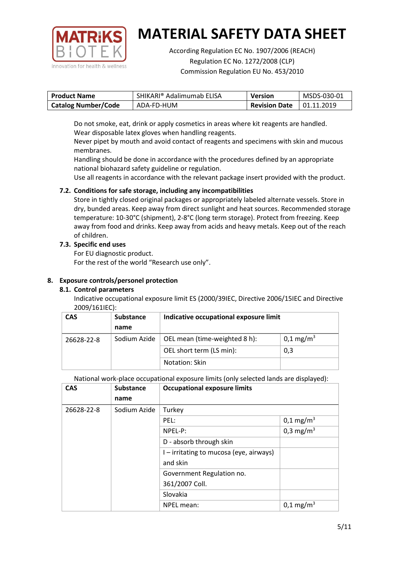

According Regulation EC No. 1907/2006 (REACH) Regulation EC No. 1272/2008 (CLP) Commission Regulation EU No. 453/2010

| <b>Product Name</b>        | SHIKARI <sup>®</sup> Adalimumab ELISA | Version              | MSDS-030-01 |
|----------------------------|---------------------------------------|----------------------|-------------|
| <b>Catalog Number/Code</b> | ADA-FD-HUM                            | <b>Revision Date</b> | 01.11.2019  |

Do not smoke, eat, drink or apply cosmetics in areas where kit reagents are handled. Wear disposable latex gloves when handling reagents.

Never pipet by mouth and avoid contact of reagents and specimens with skin and mucous membranes.

Handling should be done in accordance with the procedures defined by an appropriate national biohazard safety guideline or regulation.

Use all reagents in accordance with the relevant package insert provided with the product.

## **7.2. Conditions for safe storage, including any incompatibilities**

Store in tightly closed original packages or appropriately labeled alternate vessels. Store in dry, bunded areas. Keep away from direct sunlight and heat sources. Recommended storage temperature: 10-30°C (shipment), 2-8°C (long term storage). Protect from freezing. Keep away from food and drinks. Keep away from acids and heavy metals. Keep out of the reach of children.

## **7.3. Specific end uses**

For EU diagnostic product.

For the rest of the world "Research use only".

## **8. Exposure controls/personel protection**

## **8.1. Control parameters**

Indicative occupational exposure limit ES (2000/39IEC, Directive 2006/15IEC and Directive 2009/161IEC):

| <b>CAS</b> | <b>Substance</b> | Indicative occupational exposure limit |                       |
|------------|------------------|----------------------------------------|-----------------------|
|            | name             |                                        |                       |
| 26628-22-8 | Sodium Azide     | OEL mean (time-weighted 8 h):          | 0,1 mg/m <sup>3</sup> |
|            |                  | OEL short term (LS min):               | 0,3                   |
|            |                  | Notation: Skin                         |                       |

National work-place occupational exposure limits (only selected lands are displayed):

| <b>CAS</b> | <b>Substance</b> | <b>Occupational exposure limits</b>     |                         |
|------------|------------------|-----------------------------------------|-------------------------|
|            | name             |                                         |                         |
| 26628-22-8 | Sodium Azide     | Turkey                                  |                         |
|            |                  | PEL:                                    | $0,1 \text{ mg/m}^3$    |
|            |                  | NPEL-P:                                 | 0,3 mg/m <sup>3</sup>   |
|            |                  | D - absorb through skin                 |                         |
|            |                  | I – irritating to mucosa (eye, airways) |                         |
|            |                  | and skin                                |                         |
|            |                  | Government Regulation no.               |                         |
|            |                  | 361/2007 Coll.                          |                         |
|            |                  | Slovakia                                |                         |
|            |                  | NPEL mean:                              | $0,1 \,\mathrm{mg/m^3}$ |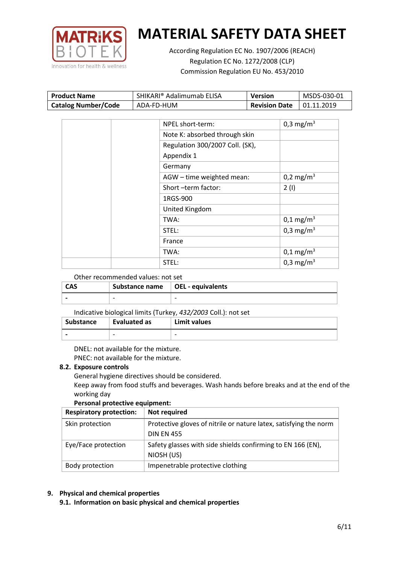

According Regulation EC No. 1907/2006 (REACH) Regulation EC No. 1272/2008 (CLP) Commission Regulation EU No. 453/2010

| <b>Product Name</b>        | SHIKARI® Adalimumab ELISA | Version              | MSDS-030-01 |
|----------------------------|---------------------------|----------------------|-------------|
| <b>Catalog Number/Code</b> | ADA-FD-HUM                | <b>Revision Date</b> | 01.11.2019  |

| NPEL short-term:                | 0,3 mg/m <sup>3</sup>   |
|---------------------------------|-------------------------|
| Note K: absorbed through skin   |                         |
| Regulation 300/2007 Coll. (SK), |                         |
| Appendix 1                      |                         |
| Germany                         |                         |
| AGW - time weighted mean:       | $0,2 \text{ mg/m}^3$    |
| Short-term factor:              | 2(1)                    |
| 1RGS-900                        |                         |
| United Kingdom                  |                         |
| TWA:                            | $0,1 \text{ mg/m}^3$    |
| STEL:                           | $0,3$ mg/m <sup>3</sup> |
| France                          |                         |
| TWA:                            | $0,1 \text{ mg/m}^3$    |
| STEL:                           | 0,3 mg/m <sup>3</sup>   |

### Other recommended values: not set

| <b>CAS</b> | Substance name   OEL - equivalents |   |
|------------|------------------------------------|---|
|            | $\overline{\phantom{0}}$           | - |

### Indicative biological limits (Turkey, *432/2003* Coll.): not set

| Substance | Evaluated as | Limit values             |
|-----------|--------------|--------------------------|
|           | -            | $\overline{\phantom{0}}$ |

DNEL: not available for the mixture. PNEC: not available for the mixture.

### **8.2. Exposure controls**

General hygiene directives should be considered.

Keep away from food stuffs and beverages. Wash hands before breaks and at the end of the working day

### **Personal protective equipment:**

| <b>Respiratory protection:</b> | Not required                                                      |
|--------------------------------|-------------------------------------------------------------------|
| Skin protection                | Protective gloves of nitrile or nature latex, satisfying the norm |
|                                | <b>DIN EN 455</b>                                                 |
| Eye/Face protection            | Safety glasses with side shields confirming to EN 166 (EN),       |
|                                | NIOSH (US)                                                        |
| Body protection                | Impenetrable protective clothing                                  |

## **9. Physical and chemical properties**

**9.1. Information on basic physical and chemical properties**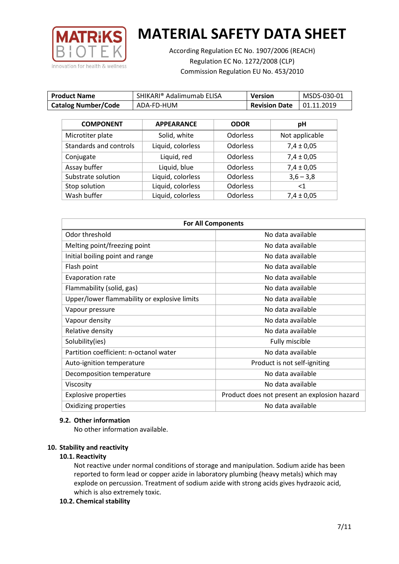

According Regulation EC No. 1907/2006 (REACH) Regulation EC No. 1272/2008 (CLP) Commission Regulation EU No. 453/2010

| <b>Product Name</b>        | SHIKARI® Adalimumab ELISA | <b>Version</b>       | MSDS-030-01 |
|----------------------------|---------------------------|----------------------|-------------|
| <b>Catalog Number/Code</b> | ADA-FD-HUM                | <b>Revision Date</b> | 01.11.2019  |

| <b>COMPONENT</b>       | <b>APPEARANCE</b> | <b>ODOR</b>     | pH             |
|------------------------|-------------------|-----------------|----------------|
| Microtiter plate       | Solid, white      | Odorless        | Not applicable |
| Standards and controls | Liquid, colorless | Odorless        | $7,4 \pm 0,05$ |
| Conjugate              | Liquid, red       | <b>Odorless</b> | $7,4 \pm 0,05$ |
| Assay buffer           | Liquid, blue      | <b>Odorless</b> | $7,4 \pm 0,05$ |
| Substrate solution     | Liquid, colorless | <b>Odorless</b> | $3,6 - 3,8$    |
| Stop solution          | Liquid, colorless | <b>Odorless</b> | ${<}1$         |
| Wash buffer            | Liquid, colorless | Odorless        | $7,4 \pm 0,05$ |

| <b>For All Components</b>                    |                                              |  |
|----------------------------------------------|----------------------------------------------|--|
| Odor threshold                               | No data available                            |  |
| Melting point/freezing point                 | No data available                            |  |
| Initial boiling point and range              | No data available                            |  |
| Flash point                                  | No data available                            |  |
| <b>Evaporation rate</b>                      | No data available                            |  |
| Flammability (solid, gas)                    | No data available                            |  |
| Upper/lower flammability or explosive limits | No data available                            |  |
| Vapour pressure                              | No data available                            |  |
| Vapour density                               | No data available                            |  |
| Relative density                             | No data available                            |  |
| Solubility(ies)                              | Fully miscible                               |  |
| Partition coefficient: n-octanol water       | No data available                            |  |
| Auto-ignition temperature                    | Product is not self-igniting                 |  |
| Decomposition temperature                    | No data available                            |  |
| Viscosity                                    | No data available                            |  |
| <b>Explosive properties</b>                  | Product does not present an explosion hazard |  |
| Oxidizing properties                         | No data available                            |  |

### **9.2. Other information**

No other information available.

### **10. Stability and reactivity**

### **10.1. Reactivity**

Not reactive under normal conditions of storage and manipulation. Sodium azide has been reported to form lead or copper azide in laboratory plumbing (heavy metals) which may explode on percussion. Treatment of sodium azide with strong acids gives hydrazoic acid, which is also extremely toxic.

## **10.2. Chemical stability**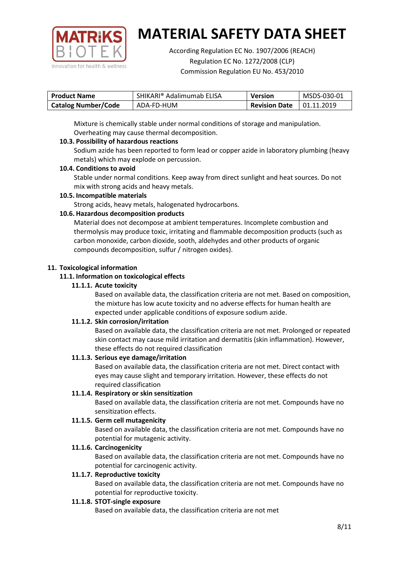

According Regulation EC No. 1907/2006 (REACH) Regulation EC No. 1272/2008 (CLP) Commission Regulation EU No. 453/2010

| <b>Product Name</b>        | SHIKARI® Adalimumab ELISA | <b>Version</b>       | MSDS-030-01 |
|----------------------------|---------------------------|----------------------|-------------|
| <b>Catalog Number/Code</b> | ADA-FD-HUM                | <b>Revision Date</b> | 01.11.2019  |

Mixture is chemically stable under normal conditions of storage and manipulation. Overheating may cause thermal decomposition.

## **10.3. Possibility of hazardous reactions**

Sodium azide has been reported to form lead or copper azide in laboratory plumbing (heavy metals) which may explode on percussion.

### **10.4. Conditions to avoid**

Stable under normal conditions. Keep away from direct sunlight and heat sources. Do not mix with strong acids and heavy metals.

### **10.5. Incompatible materials**

Strong acids, heavy metals, halogenated hydrocarbons.

## **10.6. Hazardous decomposition products**

Material does not decompose at ambient temperatures. Incomplete combustion and thermolysis may produce toxic, irritating and flammable decomposition products (such as carbon monoxide, carbon dioxide, sooth, aldehydes and other products of organic compounds decomposition, sulfur / nitrogen oxides).

### **11. Toxicological information**

### **11.1. Information on toxicological effects**

### **11.1.1. Acute toxicity**

Based on available data, the classification criteria are not met. Based on composition, the mixture has low acute toxicity and no adverse effects for human health are expected under applicable conditions of exposure sodium azide.

## **11.1.2. Skin corrosion/irritation**

Based on available data, the classification criteria are not met. Prolonged or repeated skin contact may cause mild irritation and dermatitis (skin inflammation). However, these effects do not required classification

## **11.1.3. Serious eye damage/irritation**

Based on available data, the classification criteria are not met. Direct contact with eyes may cause slight and temporary irritation. However, these effects do not required classification

### **11.1.4. Respiratory or skin sensitization**

Based on available data, the classification criteria are not met. Compounds have no sensitization effects.

## **11.1.5. Germ cell mutagenicity**

Based on available data, the classification criteria are not met. Compounds have no potential for mutagenic activity.

## **11.1.6. Carcinogenicity**

Based on available data, the classification criteria are not met. Compounds have no potential for carcinogenic activity.

### **11.1.7. Reproductive toxicity**

Based on available data, the classification criteria are not met. Compounds have no potential for reproductive toxicity.

### **11.1.8. STOT-single exposure**

Based on available data, the classification criteria are not met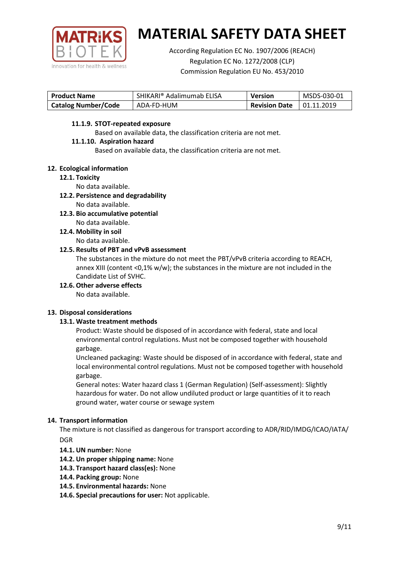

According Regulation EC No. 1907/2006 (REACH) Regulation EC No. 1272/2008 (CLP) Commission Regulation EU No. 453/2010

| <b>Product Name</b>        | SHIKARI® Adalimumab ELISA | <b>Version</b>       | MSDS-030-01       |
|----------------------------|---------------------------|----------------------|-------------------|
| <b>Catalog Number/Code</b> | ADA-FD-HUM                | <b>Revision Date</b> | $\mid$ 01.11.2019 |

### **11.1.9. STOT-repeated exposure**

Based on available data, the classification criteria are not met.

### **11.1.10. Aspiration hazard**

Based on available data, the classification criteria are not met.

### **12. Ecological information**

### **12.1. Toxicity**

No data available.

- **12.2. Persistence and degradability** No data available.
- **12.3. Bio accumulative potential** No data available.
- **12.4. Mobility in soil** No data available.

### **12.5. Results of PBT and vPvB assessment**

The substances in the mixture do not meet the PBT/vPvB criteria according to REACH, annex XIII (content <0,1% w/w); the substances in the mixture are not included in the Candidate List of SVHC.

**12.6. Other adverse effects**

No data available.

## **13. Disposal considerations**

## **13.1. Waste treatment methods**

Product: Waste should be disposed of in accordance with federal, state and local environmental control regulations. Must not be composed together with household garbage.

Uncleaned packaging: Waste should be disposed of in accordance with federal, state and local environmental control regulations. Must not be composed together with household garbage.

General notes: Water hazard class 1 (German Regulation) (Self-assessment): Slightly hazardous for water. Do not allow undiluted product or large quantities of it to reach ground water, water course or sewage system

## **14. Transport information**

The mixture is not classified as dangerous for transport according to ADR/RID/IMDG/ICAO/IATA/ DGR

- **14.1. UN number:** None
- **14.2. Un proper shipping name:** None
- **14.3. Transport hazard class(es):** None
- **14.4. Packing group:** None
- **14.5. Environmental hazards:** None
- **14.6. Special precautions for user:** Not applicable.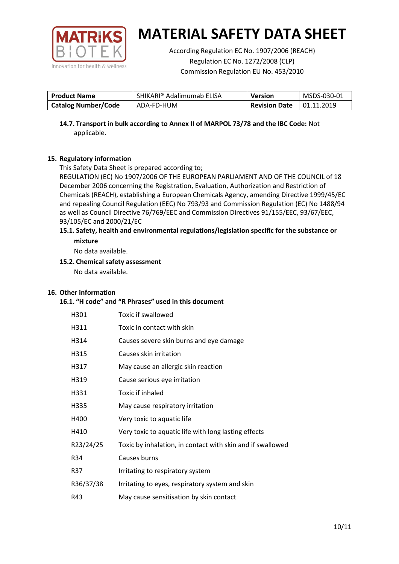

According Regulation EC No. 1907/2006 (REACH) Regulation EC No. 1272/2008 (CLP) Commission Regulation EU No. 453/2010

| <b>Product Name</b>        | SHIKARI® Adalimumab ELISA | <b>Version</b>       | MSDS-030-01       |
|----------------------------|---------------------------|----------------------|-------------------|
| <b>Catalog Number/Code</b> | ADA-FD-HUM                | <b>Revision Date</b> | $\mid$ 01.11.2019 |

**14.7. Transport in bulk according to Annex II of MARPOL 73/78 and the IBC Code:** Not applicable.

## **15. Regulatory information**

This Safety Data Sheet is prepared according to;

REGULATION (EC) No 1907/2006 OF THE EUROPEAN PARLIAMENT AND OF THE COUNCIL of 18 December 2006 concerning the Registration, Evaluation, Authorization and Restriction of Chemicals (REACH), establishing a European Chemicals Agency, amending Directive 1999/45/EC and repealing Council Regulation (EEC) No 793/93 and Commission Regulation (EC) No 1488/94 as well as Council Directive 76/769/EEC and Commission Directives 91/155/EEC, 93/67/EEC, 93/105/EC and 2000/21/EC

### **15.1. Safety, health and environmental regulations/legislation specific for the substance or mixture**

No data available.

## **15.2. Chemical safety assessment**

No data available.

## **16. Other information**

### **16.1. "H code" and "R Phrases" used in this document**

| H301      | Toxic if swallowed                                         |
|-----------|------------------------------------------------------------|
| H311      | Toxic in contact with skin                                 |
| H314      | Causes severe skin burns and eye damage                    |
| H315      | Causes skin irritation                                     |
| H317      | May cause an allergic skin reaction                        |
| H319      | Cause serious eye irritation                               |
| H331      | Toxic if inhaled                                           |
| H335      | May cause respiratory irritation                           |
| H400      | Very toxic to aquatic life                                 |
| H410      | Very toxic to aquatic life with long lasting effects       |
| R23/24/25 | Toxic by inhalation, in contact with skin and if swallowed |
| R34       | Causes burns                                               |
| R37       | Irritating to respiratory system                           |
| R36/37/38 | Irritating to eyes, respiratory system and skin            |
| R43       | May cause sensitisation by skin contact                    |
|           |                                                            |